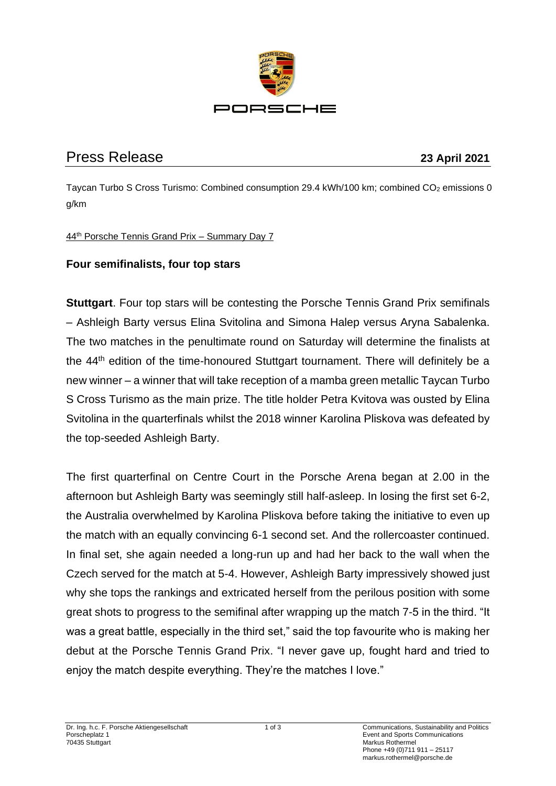

# Press Release **23 April 2021**

Taycan Turbo S Cross Turismo: Combined consumption 29.4 kWh/100 km; combined CO<sub>2</sub> emissions 0 g/km

### 44th Porsche Tennis Grand Prix – Summary Day 7

# **Four semifinalists, four top stars**

**Stuttgart**. Four top stars will be contesting the Porsche Tennis Grand Prix semifinals – Ashleigh Barty versus Elina Svitolina and Simona Halep versus Aryna Sabalenka. The two matches in the penultimate round on Saturday will determine the finalists at the 44th edition of the time-honoured Stuttgart tournament. There will definitely be a new winner – a winner that will take reception of a mamba green metallic Taycan Turbo S Cross Turismo as the main prize. The title holder Petra Kvitova was ousted by Elina Svitolina in the quarterfinals whilst the 2018 winner Karolina Pliskova was defeated by the top-seeded Ashleigh Barty.

The first quarterfinal on Centre Court in the Porsche Arena began at 2.00 in the afternoon but Ashleigh Barty was seemingly still half-asleep. In losing the first set 6-2, the Australia overwhelmed by Karolina Pliskova before taking the initiative to even up the match with an equally convincing 6-1 second set. And the rollercoaster continued. In final set, she again needed a long-run up and had her back to the wall when the Czech served for the match at 5-4. However, Ashleigh Barty impressively showed just why she tops the rankings and extricated herself from the perilous position with some great shots to progress to the semifinal after wrapping up the match 7-5 in the third. "It was a great battle, especially in the third set," said the top favourite who is making her debut at the Porsche Tennis Grand Prix. "I never gave up, fought hard and tried to enjoy the match despite everything. They're the matches I love."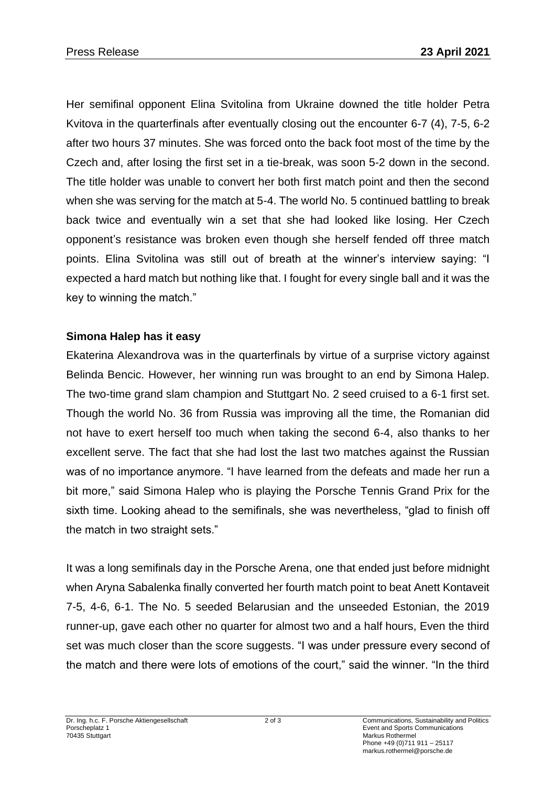Her semifinal opponent Elina Svitolina from Ukraine downed the title holder Petra Kvitova in the quarterfinals after eventually closing out the encounter 6-7 (4), 7-5, 6-2 after two hours 37 minutes. She was forced onto the back foot most of the time by the Czech and, after losing the first set in a tie-break, was soon 5-2 down in the second. The title holder was unable to convert her both first match point and then the second when she was serving for the match at 5-4. The world No. 5 continued battling to break back twice and eventually win a set that she had looked like losing. Her Czech opponent's resistance was broken even though she herself fended off three match points. Elina Svitolina was still out of breath at the winner's interview saying: "I expected a hard match but nothing like that. I fought for every single ball and it was the key to winning the match."

# **Simona Halep has it easy**

Ekaterina Alexandrova was in the quarterfinals by virtue of a surprise victory against Belinda Bencic. However, her winning run was brought to an end by Simona Halep. The two-time grand slam champion and Stuttgart No. 2 seed cruised to a 6-1 first set. Though the world No. 36 from Russia was improving all the time, the Romanian did not have to exert herself too much when taking the second 6-4, also thanks to her excellent serve. The fact that she had lost the last two matches against the Russian was of no importance anymore. "I have learned from the defeats and made her run a bit more," said Simona Halep who is playing the Porsche Tennis Grand Prix for the sixth time. Looking ahead to the semifinals, she was nevertheless, "glad to finish off the match in two straight sets."

It was a long semifinals day in the Porsche Arena, one that ended just before midnight when Aryna Sabalenka finally converted her fourth match point to beat Anett Kontaveit 7-5, 4-6, 6-1. The No. 5 seeded Belarusian and the unseeded Estonian, the 2019 runner-up, gave each other no quarter for almost two and a half hours, Even the third set was much closer than the score suggests. "I was under pressure every second of the match and there were lots of emotions of the court," said the winner. "In the third